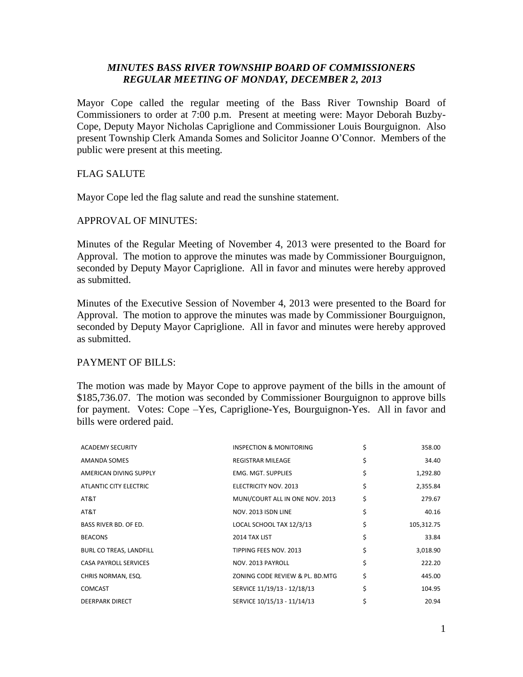# *MINUTES BASS RIVER TOWNSHIP BOARD OF COMMISSIONERS REGULAR MEETING OF MONDAY, DECEMBER 2, 2013*

Mayor Cope called the regular meeting of the Bass River Township Board of Commissioners to order at 7:00 p.m. Present at meeting were: Mayor Deborah Buzby-Cope, Deputy Mayor Nicholas Capriglione and Commissioner Louis Bourguignon. Also present Township Clerk Amanda Somes and Solicitor Joanne O'Connor. Members of the public were present at this meeting.

# FLAG SALUTE

Mayor Cope led the flag salute and read the sunshine statement.

## APPROVAL OF MINUTES:

Minutes of the Regular Meeting of November 4, 2013 were presented to the Board for Approval. The motion to approve the minutes was made by Commissioner Bourguignon, seconded by Deputy Mayor Capriglione. All in favor and minutes were hereby approved as submitted.

Minutes of the Executive Session of November 4, 2013 were presented to the Board for Approval. The motion to approve the minutes was made by Commissioner Bourguignon, seconded by Deputy Mayor Capriglione. All in favor and minutes were hereby approved as submitted.

# PAYMENT OF BILLS:

The motion was made by Mayor Cope to approve payment of the bills in the amount of \$185,736.07. The motion was seconded by Commissioner Bourguignon to approve bills for payment. Votes: Cope –Yes, Capriglione-Yes, Bourguignon-Yes. All in favor and bills were ordered paid.

| <b>ACADEMY SECURITY</b>      | INSPECTION & MONITORING         | \$<br>358.00     |
|------------------------------|---------------------------------|------------------|
| AMANDA SOMES                 | <b>REGISTRAR MILEAGE</b>        | \$<br>34.40      |
| AMERICAN DIVING SUPPLY       | EMG. MGT. SUPPLIES              | \$<br>1,292.80   |
| ATLANTIC CITY ELECTRIC       | ELECTRICITY NOV. 2013           | \$<br>2,355.84   |
| AT&T                         | MUNI/COURT ALL IN ONE NOV. 2013 | \$<br>279.67     |
| AT&T                         | NOV. 2013 ISDN LINE             | \$<br>40.16      |
| <b>BASS RIVER BD. OF ED.</b> | LOCAL SCHOOL TAX 12/3/13        | \$<br>105,312.75 |
| <b>BEACONS</b>               | 2014 TAX LIST                   | \$<br>33.84      |
| BURL CO TREAS, LANDFILL      | TIPPING FEES NOV. 2013          | \$<br>3,018.90   |
| <b>CASA PAYROLL SERVICES</b> | NOV. 2013 PAYROLL               | \$<br>222.20     |
| CHRIS NORMAN, ESQ.           | ZONING CODE REVIEW & PL. BD.MTG | \$<br>445.00     |
| <b>COMCAST</b>               | SERVICE 11/19/13 - 12/18/13     | \$<br>104.95     |
| <b>DEERPARK DIRECT</b>       | SERVICE 10/15/13 - 11/14/13     | 20.94            |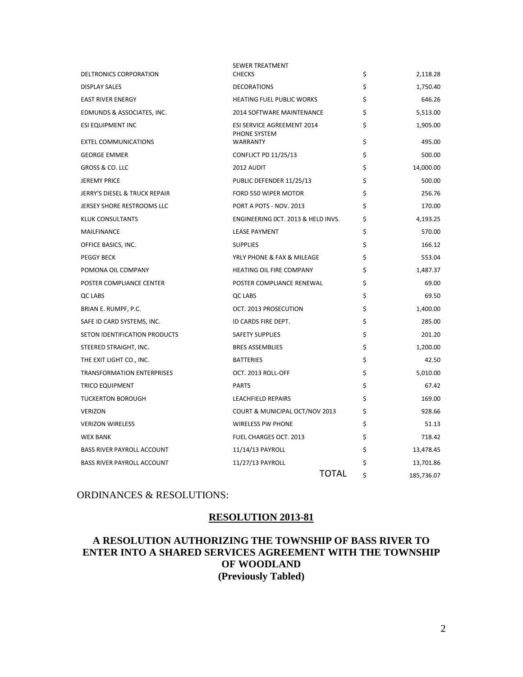| DELTRONICS CORPORATION            | SEWER TREATMENT<br><b>CHECKS</b>   | \$ | 2,118.28   |
|-----------------------------------|------------------------------------|----|------------|
| <b>DISPLAY SALES</b>              | <b>DECORATIONS</b>                 | \$ | 1,750.40   |
| <b>EAST RIVER ENERGY</b>          | <b>HEATING FUEL PUBLIC WORKS</b>   | \$ | 646.26     |
| EDMUNDS & ASSOCIATES, INC.        | <b>2014 SOFTWARE MAINTENANCE</b>   | \$ | 5.513.00   |
| ESI EQUIPMENT INC                 | ESI SERVICE AGREEMENT 2014         | \$ | 1,905.00   |
| <b>EXTEL COMMUNICATIONS</b>       | PHONE SYSTEM<br><b>WARRANTY</b>    | \$ | 495.00     |
| <b>GEORGE EMMER</b>               | <b>CONFLICT PD 11/25/13</b>        | \$ | 500.00     |
| <b>GROSS &amp; CO. LLC</b>        | 2012 AUDIT                         | \$ | 14,000.00  |
| <b>JEREMY PRICE</b>               | PUBLIC DEFENDER 11/25/13           | \$ | 500.00     |
| JERRY'S DIESEL & TRUCK REPAIR     | FORD 550 WIPER MOTOR               | Ś  | 256.76     |
| <b>JERSEY SHORE RESTROOMS LLC</b> | PORT A POTS - NOV. 2013            | \$ | 170.00     |
| <b>KLUK CONSULTANTS</b>           | ENGINEERING OCT. 2013 & HELD INVS. | \$ | 4,193.25   |
| MAILFINANCE                       | <b>LEASE PAYMENT</b>               | \$ | 570.00     |
| OFFICE BASICS, INC.               | <b>SUPPLIES</b>                    | \$ | 166.12     |
| <b>PEGGY BECK</b>                 | YRLY PHONE & FAX & MILEAGE         | Ś  | 553.04     |
| POMONA OIL COMPANY                | HEATING OIL FIRE COMPANY           | \$ | 1,487.37   |
| POSTER COMPLIANCE CENTER          | POSTER COMPLIANCE RENEWAL          | \$ | 69.00      |
| QC LABS                           | QC LABS                            | \$ | 69.50      |
| BRIAN E. RUMPF, P.C.              | OCT. 2013 PROSECUTION              | \$ | 1,400.00   |
| SAFE ID CARD SYSTEMS, INC.        | ID CARDS FIRE DEPT.                | \$ | 285.00     |
| SETON IDENTIFICATION PRODUCTS     | <b>SAFETY SUPPLIES</b>             | \$ | 201.20     |
| STEERED STRAIGHT, INC.            | <b>BRES ASSEMBLIES</b>             | \$ | 1,200.00   |
| THE EXIT LIGHT CO., INC.          | <b>BATTERIES</b>                   | \$ | 42.50      |
| <b>TRANSFORMATION ENTERPRISES</b> | OCT. 2013 ROLL-OFF                 | \$ | 5,010.00   |
| <b>TRICO EQUIPMENT</b>            | <b>PARTS</b>                       | \$ | 67.42      |
| <b>TUCKERTON BOROUGH</b>          | <b>LEACHFIELD REPAIRS</b>          | \$ | 169.00     |
| <b>VERIZON</b>                    | COURT & MUNICIPAL OCT/NOV 2013     | \$ | 928.66     |
| <b>VERIZON WIRELESS</b>           | <b>WIRELESS PW PHONE</b>           | \$ | 51.13      |
| <b>WEX BANK</b>                   | FUEL CHARGES OCT. 2013             | \$ | 718.42     |
| <b>BASS RIVER PAYROLL ACCOUNT</b> | 11/14/13 PAYROLL                   | \$ | 13,478.45  |
| <b>BASS RIVER PAYROLL ACCOUNT</b> | 11/27/13 PAYROLL                   | \$ | 13,701.86  |
|                                   | TOTAL                              | Ś  | 185,736.07 |

## ORDINANCES & RESOLUTIONS:

## **RESOLUTION 2013-81**

# **A RESOLUTION AUTHORIZING THE TOWNSHIP OF BASS RIVER TO ENTER INTO A SHARED SERVICES AGREEMENT WITH THE TOWNSHIP OF WOODLAND (Previously Tabled)**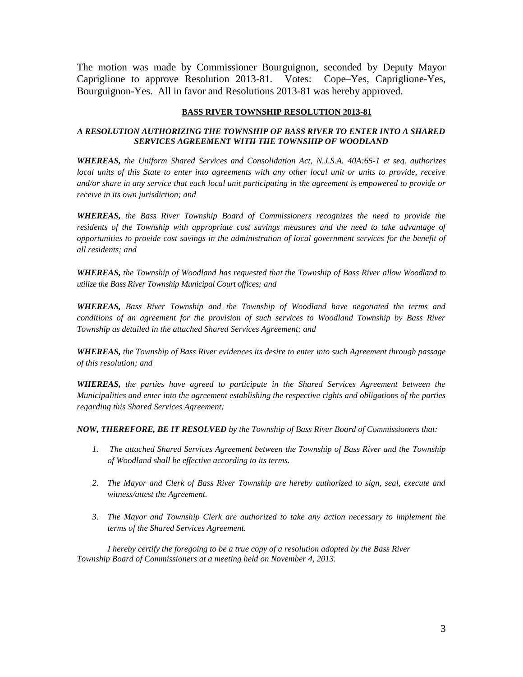The motion was made by Commissioner Bourguignon, seconded by Deputy Mayor Capriglione to approve Resolution 2013-81. Votes: Cope–Yes, Capriglione-Yes, Bourguignon-Yes. All in favor and Resolutions 2013-81 was hereby approved.

### **BASS RIVER TOWNSHIP RESOLUTION 2013-81**

## *A RESOLUTION AUTHORIZING THE TOWNSHIP OF BASS RIVER TO ENTER INTO A SHARED SERVICES AGREEMENT WITH THE TOWNSHIP OF WOODLAND*

*WHEREAS, the Uniform Shared Services and Consolidation Act, N.J.S.A. 40A:65-1 et seq. authorizes local units of this State to enter into agreements with any other local unit or units to provide, receive and/or share in any service that each local unit participating in the agreement is empowered to provide or receive in its own jurisdiction; and*

*WHEREAS, the Bass River Township Board of Commissioners recognizes the need to provide the residents of the Township with appropriate cost savings measures and the need to take advantage of opportunities to provide cost savings in the administration of local government services for the benefit of all residents; and*

*WHEREAS, the Township of Woodland has requested that the Township of Bass River allow Woodland to utilize the Bass River Township Municipal Court offices; and*

*WHEREAS, Bass River Township and the Township of Woodland have negotiated the terms and conditions of an agreement for the provision of such services to Woodland Township by Bass River Township as detailed in the attached Shared Services Agreement; and*

*WHEREAS, the Township of Bass River evidences its desire to enter into such Agreement through passage of this resolution; and*

*WHEREAS, the parties have agreed to participate in the Shared Services Agreement between the Municipalities and enter into the agreement establishing the respective rights and obligations of the parties regarding this Shared Services Agreement;* 

*NOW, THEREFORE, BE IT RESOLVED by the Township of Bass River Board of Commissioners that:*

- *1. The attached Shared Services Agreement between the Township of Bass River and the Township of Woodland shall be effective according to its terms.*
- *2. The Mayor and Clerk of Bass River Township are hereby authorized to sign, seal, execute and witness/attest the Agreement.*
- *3. The Mayor and Township Clerk are authorized to take any action necessary to implement the terms of the Shared Services Agreement.*

*I hereby certify the foregoing to be a true copy of a resolution adopted by the Bass River Township Board of Commissioners at a meeting held on November 4, 2013.*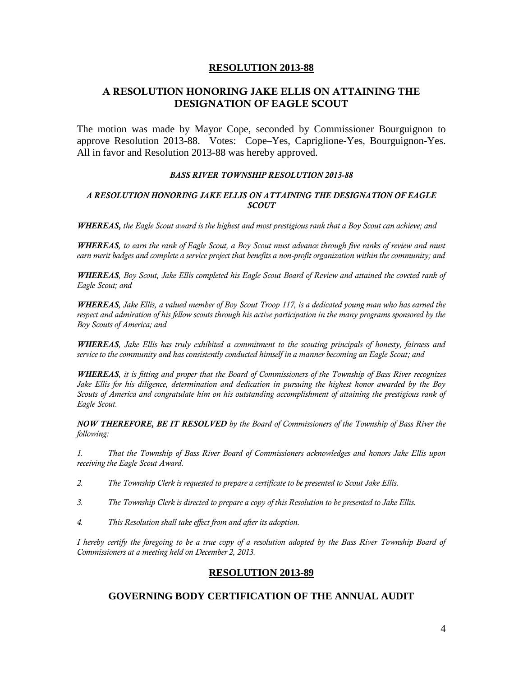# **A RESOLUTION HONORING JAKE ELLIS ON ATTAINING THE DESIGNATION OF EAGLE SCOUT**

The motion was made by Mayor Cope, seconded by Commissioner Bourguignon to approve Resolution 2013-88. Votes: Cope–Yes, Capriglione-Yes, Bourguignon-Yes. All in favor and Resolution 2013-88 was hereby approved.

### *BASS RIVER TOWNSHIP RESOLUTION 2013-88*

### *A RESOLUTION HONORING JAKE ELLIS ON ATTAINING THE DESIGNATION OF EAGLE SCOUT*

*WHEREAS, the Eagle Scout award is the highest and most prestigious rank that a Boy Scout can achieve; and*

*WHEREAS, to earn the rank of Eagle Scout, a Boy Scout must advance through five ranks of review and must earn merit badges and complete a service project that benefits a non-profit organization within the community; and*

*WHEREAS, Boy Scout, Jake Ellis completed his Eagle Scout Board of Review and attained the coveted rank of Eagle Scout; and*

*WHEREAS, Jake Ellis, a valued member of Boy Scout Troop 117, is a dedicated young man who has earned the*  respect and admiration of his fellow scouts through his active participation in the many programs sponsored by the *Boy Scouts of America; and* 

*WHEREAS, Jake Ellis has truly exhibited a commitment to the scouting principals of honesty, fairness and service to the community and has consistently conducted himself in a manner becoming an Eagle Scout; and* 

*WHEREAS, it is fitting and proper that the Board of Commissioners of the Township of Bass River recognizes Jake Ellis for his diligence, determination and dedication in pursuing the highest honor awarded by the Boy Scouts of America and congratulate him on his outstanding accomplishment of attaining the prestigious rank of Eagle Scout.*

*NOW THEREFORE, BE IT RESOLVED by the Board of Commissioners of the Township of Bass River the following:*

*1. That the Township of Bass River Board of Commissioners acknowledges and honors Jake Ellis upon receiving the Eagle Scout Award.*

- *2. The Township Clerk is requested to prepare a certificate to be presented to Scout Jake Ellis.*
- *3. The Township Clerk is directed to prepare a copy of this Resolution to be presented to Jake Ellis.*
- *4. This Resolution shall take effect from and after its adoption.*

*I hereby certify the foregoing to be a true copy of a resolution adopted by the Bass River Township Board of Commissioners at a meeting held on December 2, 2013.* 

## **RESOLUTION 2013-89**

## **GOVERNING BODY CERTIFICATION OF THE ANNUAL AUDIT**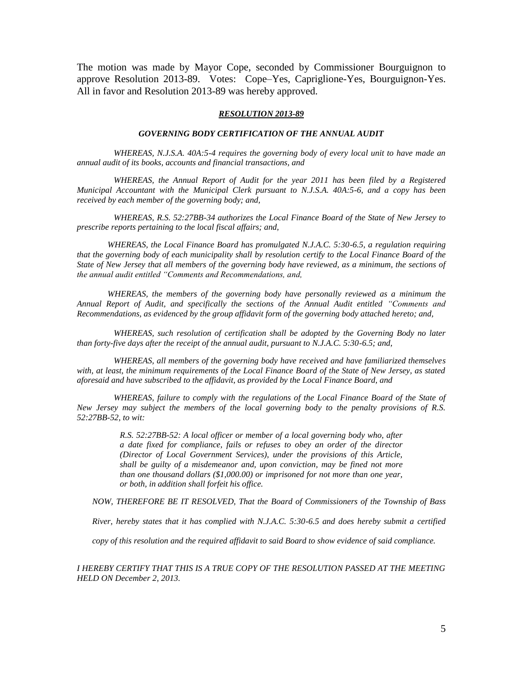The motion was made by Mayor Cope, seconded by Commissioner Bourguignon to approve Resolution 2013-89. Votes: Cope–Yes, Capriglione-Yes, Bourguignon-Yes. All in favor and Resolution 2013-89 was hereby approved.

#### *RESOLUTION 2013-89*

#### *GOVERNING BODY CERTIFICATION OF THE ANNUAL AUDIT*

*WHEREAS, N.J.S.A. 40A:5-4 requires the governing body of every local unit to have made an annual audit of its books, accounts and financial transactions, and*

*WHEREAS, the Annual Report of Audit for the year 2011 has been filed by a Registered Municipal Accountant with the Municipal Clerk pursuant to N.J.S.A. 40A:5-6, and a copy has been received by each member of the governing body; and,*

*WHEREAS, R.S. 52:27BB-34 authorizes the Local Finance Board of the State of New Jersey to prescribe reports pertaining to the local fiscal affairs; and,*

*WHEREAS, the Local Finance Board has promulgated N.J.A.C. 5:30-6.5, a regulation requiring that the governing body of each municipality shall by resolution certify to the Local Finance Board of the State of New Jersey that all members of the governing body have reviewed, as a minimum, the sections of the annual audit entitled "Comments and Recommendations, and,*

*WHEREAS, the members of the governing body have personally reviewed as a minimum the Annual Report of Audit, and specifically the sections of the Annual Audit entitled "Comments and Recommendations, as evidenced by the group affidavit form of the governing body attached hereto; and,*

*WHEREAS, such resolution of certification shall be adopted by the Governing Body no later than forty-five days after the receipt of the annual audit, pursuant to N.J.A.C. 5:30-6.5; and,*

*WHEREAS, all members of the governing body have received and have familiarized themselves with, at least, the minimum requirements of the Local Finance Board of the State of New Jersey, as stated aforesaid and have subscribed to the affidavit, as provided by the Local Finance Board, and*

*WHEREAS, failure to comply with the regulations of the Local Finance Board of the State of New Jersey may subject the members of the local governing body to the penalty provisions of R.S. 52:27BB-52, to wit:*

> *R.S. 52:27BB-52: A local officer or member of a local governing body who, after a date fixed for compliance, fails or refuses to obey an order of the director (Director of Local Government Services), under the provisions of this Article, shall be guilty of a misdemeanor and, upon conviction, may be fined not more than one thousand dollars (\$1,000.00) or imprisoned for not more than one year, or both, in addition shall forfeit his office.*

*NOW, THEREFORE BE IT RESOLVED, That the Board of Commissioners of the Township of Bass* 

*River, hereby states that it has complied with N.J.A.C. 5:30-6.5 and does hereby submit a certified* 

*copy of this resolution and the required affidavit to said Board to show evidence of said compliance.*

*I HEREBY CERTIFY THAT THIS IS A TRUE COPY OF THE RESOLUTION PASSED AT THE MEETING HELD ON December 2, 2013.*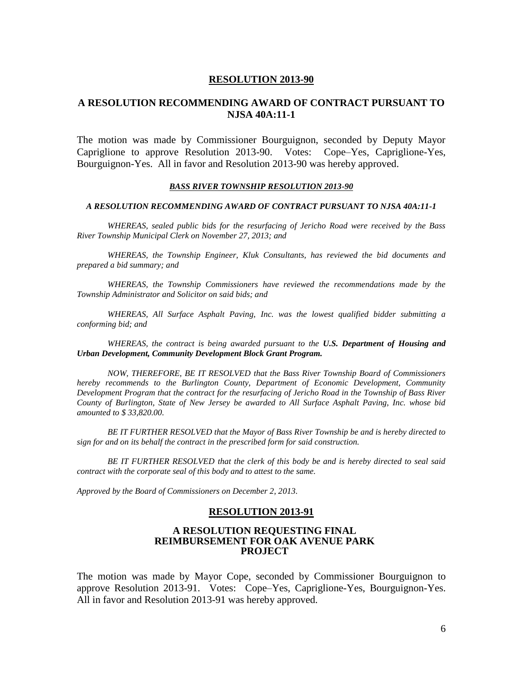# **A RESOLUTION RECOMMENDING AWARD OF CONTRACT PURSUANT TO NJSA 40A:11-1**

The motion was made by Commissioner Bourguignon, seconded by Deputy Mayor Capriglione to approve Resolution 2013-90. Votes: Cope–Yes, Capriglione-Yes, Bourguignon-Yes. All in favor and Resolution 2013-90 was hereby approved.

#### *BASS RIVER TOWNSHIP RESOLUTION 2013-90*

#### *A RESOLUTION RECOMMENDING AWARD OF CONTRACT PURSUANT TO NJSA 40A:11-1*

*WHEREAS, sealed public bids for the resurfacing of Jericho Road were received by the Bass River Township Municipal Clerk on November 27, 2013; and*

*WHEREAS, the Township Engineer, Kluk Consultants, has reviewed the bid documents and prepared a bid summary; and*

*WHEREAS, the Township Commissioners have reviewed the recommendations made by the Township Administrator and Solicitor on said bids; and*

*WHEREAS, All Surface Asphalt Paving, Inc. was the lowest qualified bidder submitting a conforming bid; and* 

*WHEREAS, the contract is being awarded pursuant to the U.S. Department of Housing and Urban Development, Community Development Block Grant Program.*

*NOW, THEREFORE, BE IT RESOLVED that the Bass River Township Board of Commissioners hereby recommends to the Burlington County, Department of Economic Development, Community Development Program that the contract for the resurfacing of Jericho Road in the Township of Bass River County of Burlington, State of New Jersey be awarded to All Surface Asphalt Paving, Inc. whose bid amounted to \$ 33,820.00.*

*BE IT FURTHER RESOLVED that the Mayor of Bass River Township be and is hereby directed to sign for and on its behalf the contract in the prescribed form for said construction.*

*BE IT FURTHER RESOLVED that the clerk of this body be and is hereby directed to seal said contract with the corporate seal of this body and to attest to the same.*

*Approved by the Board of Commissioners on December 2, 2013.*

## **RESOLUTION 2013-91**

### **A RESOLUTION REQUESTING FINAL REIMBURSEMENT FOR OAK AVENUE PARK PROJECT**

The motion was made by Mayor Cope, seconded by Commissioner Bourguignon to approve Resolution 2013-91. Votes: Cope–Yes, Capriglione-Yes, Bourguignon-Yes. All in favor and Resolution 2013-91 was hereby approved.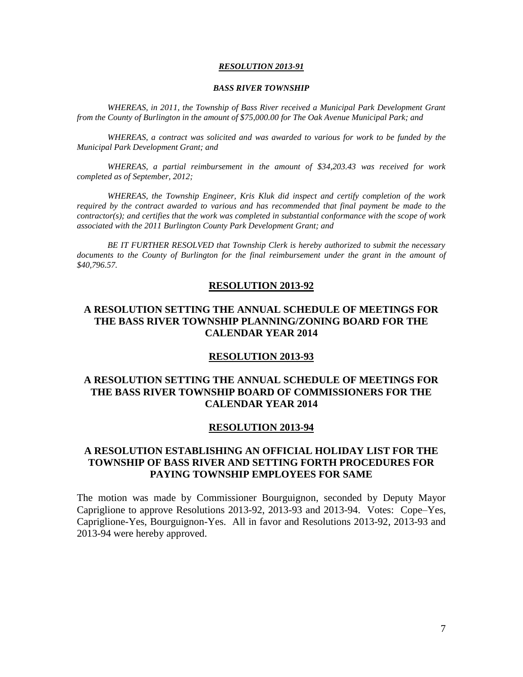#### *BASS RIVER TOWNSHIP*

*WHEREAS, in 2011, the Township of Bass River received a Municipal Park Development Grant from the County of Burlington in the amount of \$75,000.00 for The Oak Avenue Municipal Park; and*

*WHEREAS, a contract was solicited and was awarded to various for work to be funded by the Municipal Park Development Grant; and*

*WHEREAS, a partial reimbursement in the amount of \$34,203.43 was received for work completed as of September, 2012;*

*WHEREAS, the Township Engineer, Kris Kluk did inspect and certify completion of the work required by the contract awarded to various and has recommended that final payment be made to the contractor(s); and certifies that the work was completed in substantial conformance with the scope of work associated with the 2011 Burlington County Park Development Grant; and*

*BE IT FURTHER RESOLVED that Township Clerk is hereby authorized to submit the necessary documents to the County of Burlington for the final reimbursement under the grant in the amount of \$40,796.57.*

#### **RESOLUTION 2013-92**

# **A RESOLUTION SETTING THE ANNUAL SCHEDULE OF MEETINGS FOR THE BASS RIVER TOWNSHIP PLANNING/ZONING BOARD FOR THE CALENDAR YEAR 2014**

### **RESOLUTION 2013-93**

# **A RESOLUTION SETTING THE ANNUAL SCHEDULE OF MEETINGS FOR THE BASS RIVER TOWNSHIP BOARD OF COMMISSIONERS FOR THE CALENDAR YEAR 2014**

### **RESOLUTION 2013-94**

# **A RESOLUTION ESTABLISHING AN OFFICIAL HOLIDAY LIST FOR THE TOWNSHIP OF BASS RIVER AND SETTING FORTH PROCEDURES FOR PAYING TOWNSHIP EMPLOYEES FOR SAME**

The motion was made by Commissioner Bourguignon, seconded by Deputy Mayor Capriglione to approve Resolutions 2013-92, 2013-93 and 2013-94. Votes: Cope–Yes, Capriglione-Yes, Bourguignon-Yes. All in favor and Resolutions 2013-92, 2013-93 and 2013-94 were hereby approved.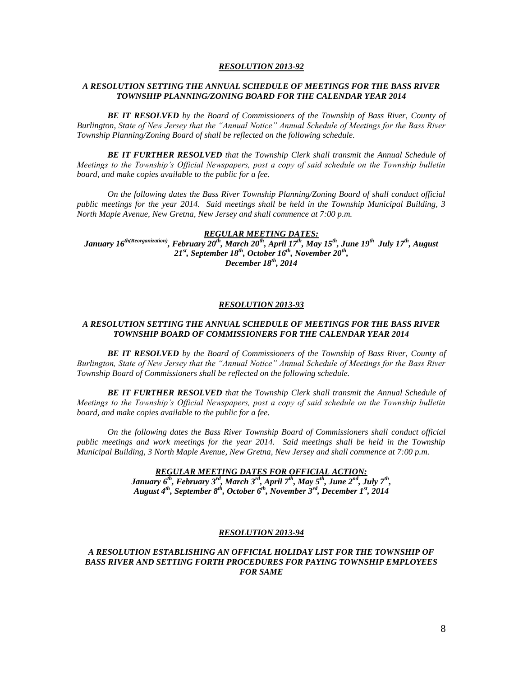#### *A RESOLUTION SETTING THE ANNUAL SCHEDULE OF MEETINGS FOR THE BASS RIVER TOWNSHIP PLANNING/ZONING BOARD FOR THE CALENDAR YEAR 2014*

*BE IT RESOLVED by the Board of Commissioners of the Township of Bass River, County of Burlington, State of New Jersey that the "Annual Notice" Annual Schedule of Meetings for the Bass River Township Planning/Zoning Board of shall be reflected on the following schedule.*

*BE IT FURTHER RESOLVED that the Township Clerk shall transmit the Annual Schedule of Meetings to the Township's Official Newspapers, post a copy of said schedule on the Township bulletin board, and make copies available to the public for a fee.*

*On the following dates the Bass River Township Planning/Zoning Board of shall conduct official public meetings for the year 2014. Said meetings shall be held in the Township Municipal Building, 3 North Maple Avenue, New Gretna, New Jersey and shall commence at 7:00 p.m.*

*REGULAR MEETING DATES: January 16th(Reorganization), February 20th, March 20th , April 17th, May 15th, June 19th July 17th, August 21st, September 18th, October 16th, November 20th , December 18th, 2014*

#### *RESOLUTION 2013-93*

#### *A RESOLUTION SETTING THE ANNUAL SCHEDULE OF MEETINGS FOR THE BASS RIVER TOWNSHIP BOARD OF COMMISSIONERS FOR THE CALENDAR YEAR 2014*

*BE IT RESOLVED by the Board of Commissioners of the Township of Bass River, County of Burlington, State of New Jersey that the "Annual Notice" Annual Schedule of Meetings for the Bass River Township Board of Commissioners shall be reflected on the following schedule.*

*BE IT FURTHER RESOLVED that the Township Clerk shall transmit the Annual Schedule of Meetings to the Township's Official Newspapers, post a copy of said schedule on the Township bulletin board, and make copies available to the public for a fee.*

*On the following dates the Bass River Township Board of Commissioners shall conduct official public meetings and work meetings for the year 2014. Said meetings shall be held in the Township Municipal Building, 3 North Maple Avenue, New Gretna, New Jersey and shall commence at 7:00 p.m.*

> *REGULAR MEETING DATES FOR OFFICIAL ACTION: January 6th, February 3rd, March 3rd, April 7th, May 5th, June 2nd, July 7th , August 4th, September 8th, October 6th, November 3rd, December 1st, 2014*

#### *RESOLUTION 2013-94*

#### *A RESOLUTION ESTABLISHING AN OFFICIAL HOLIDAY LIST FOR THE TOWNSHIP OF BASS RIVER AND SETTING FORTH PROCEDURES FOR PAYING TOWNSHIP EMPLOYEES FOR SAME*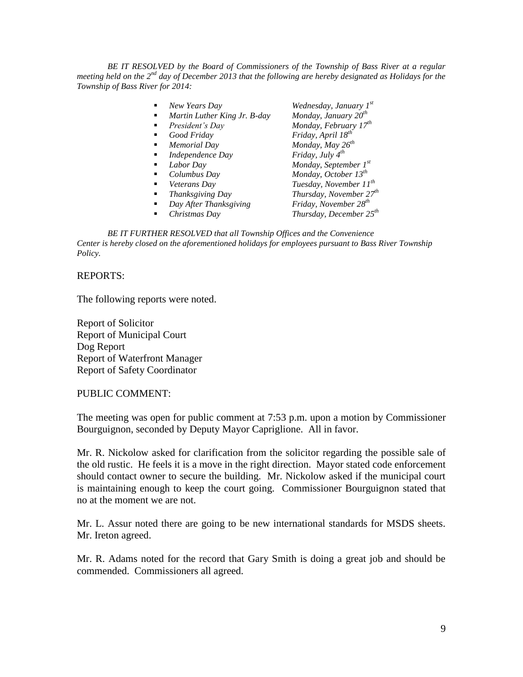*BE IT RESOLVED by the Board of Commissioners of the Township of Bass River at a regular* meeting held on the 2<sup>nd</sup> day of December 2013 that the following are hereby designated as Holidays for the *Township of Bass River for 2014:*

| New Years Day<br>٠                | Wednesday, January 1st              |
|-----------------------------------|-------------------------------------|
| Martin Luther King Jr. B-day<br>٠ | Monday, January 20 <sup>th</sup>    |
| President's Day<br>٠              | Monday, February 17 <sup>th</sup>   |
| Good Friday<br>٠                  | Friday, April 18 <sup>th</sup>      |
| Memorial Day<br>٠                 | Monday, May 26 <sup>th</sup>        |
| Independence Day<br>٠             | Friday, July $4^{th}$               |
| Labor Day<br>٠                    | Monday, September $I^{st}$          |
| Columbus Day<br>٠                 | Monday, October $13^{th}$           |
| Veterans Dav<br>٠                 | Tuesday, November 11 <sup>th</sup>  |
| Thanksgiving Day<br>٠             | Thursday, November 27 <sup>th</sup> |
| Day After Thanksgiving<br>٠       | Friday, November 28 <sup>th</sup>   |
| Christmas Day<br>٠                | Thursday, December 25 <sup>th</sup> |

*BE IT FURTHER RESOLVED that all Township Offices and the Convenience Center is hereby closed on the aforementioned holidays for employees pursuant to Bass River Township Policy.*

## REPORTS:

The following reports were noted.

Report of Solicitor Report of Municipal Court Dog Report Report of Waterfront Manager Report of Safety Coordinator

PUBLIC COMMENT:

The meeting was open for public comment at 7:53 p.m. upon a motion by Commissioner Bourguignon, seconded by Deputy Mayor Capriglione. All in favor.

Mr. R. Nickolow asked for clarification from the solicitor regarding the possible sale of the old rustic. He feels it is a move in the right direction. Mayor stated code enforcement should contact owner to secure the building. Mr. Nickolow asked if the municipal court is maintaining enough to keep the court going. Commissioner Bourguignon stated that no at the moment we are not.

Mr. L. Assur noted there are going to be new international standards for MSDS sheets. Mr. Ireton agreed.

Mr. R. Adams noted for the record that Gary Smith is doing a great job and should be commended. Commissioners all agreed.